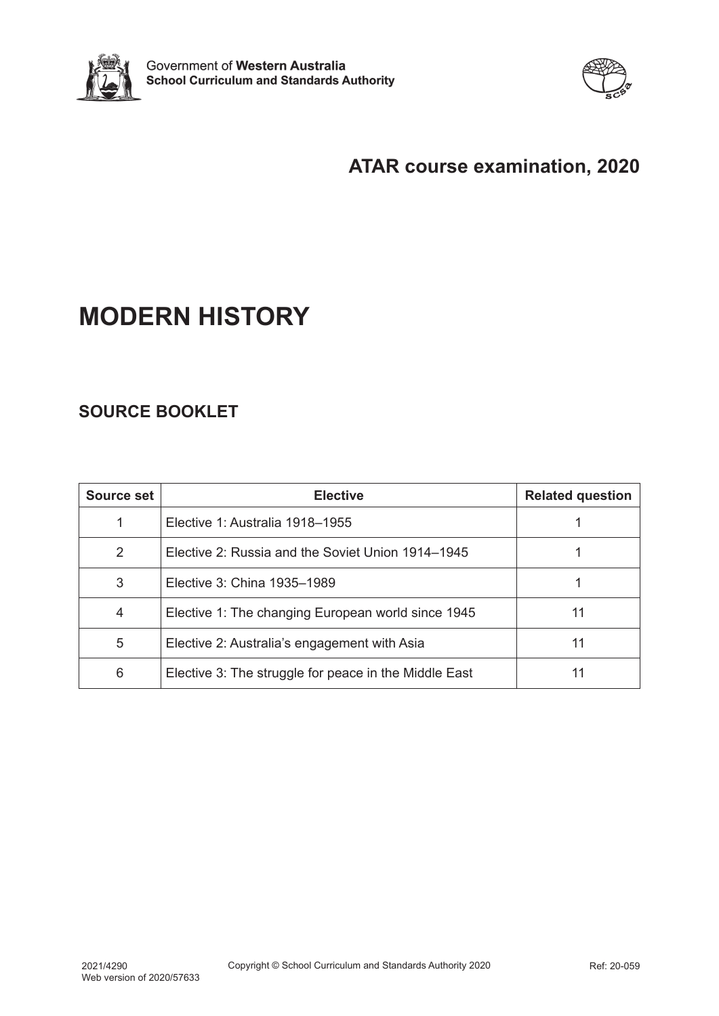



# **ATAR course examination, 2020**

# **MODERN HISTORY**

# **SOURCE BOOKLET**

| Source set    | <b>Elective</b>                                       | <b>Related question</b> |
|---------------|-------------------------------------------------------|-------------------------|
|               | Elective 1: Australia 1918–1955                       |                         |
| $\mathcal{P}$ | Elective 2: Russia and the Soviet Union 1914–1945     |                         |
| 3             | Elective 3: China 1935–1989                           |                         |
| 4             | Elective 1: The changing European world since 1945    | 11                      |
| 5             | Elective 2: Australia's engagement with Asia          | 11                      |
| 6             | Elective 3: The struggle for peace in the Middle East | 11                      |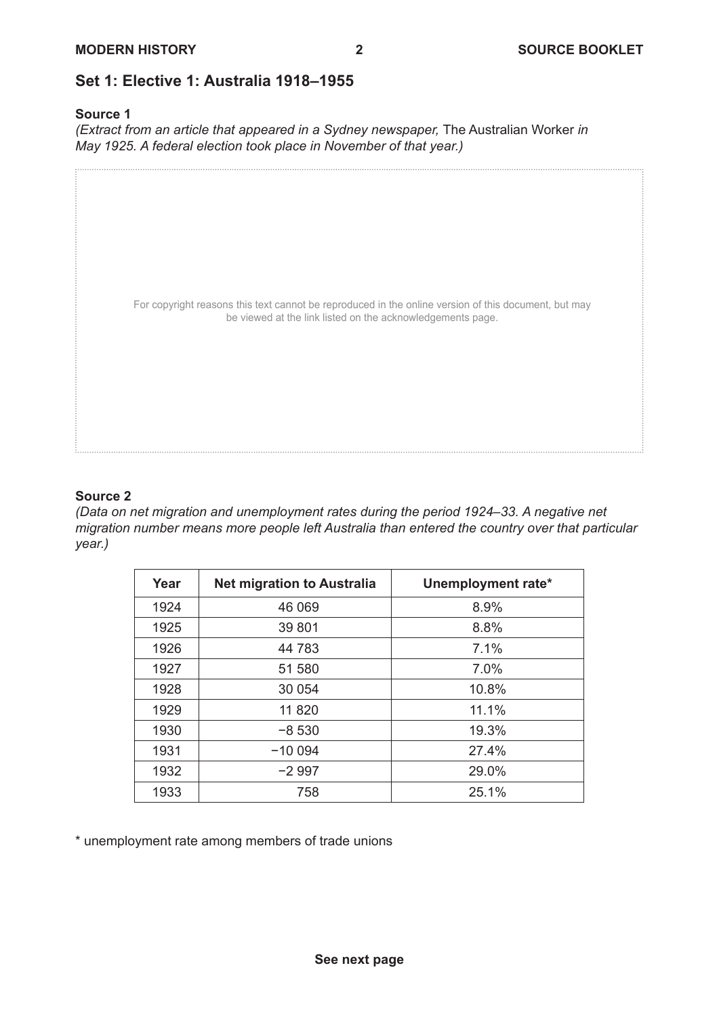## **Set 1: Elective 1: Australia 1918–1955**

#### **Source 1**

*(Extract from an article that appeared in a Sydney newspaper, The Australian Worker in May 1925. A federal election took place in November of that year.)*

For copyright reasons this text cannot be reproduced in the online version of this document, but may be viewed at the link listed on the acknowledgements page.

#### **Source 2**

*(Data on net migration and unemployment rates during the period 1924–33. A negative net migration number means more people left Australia than entered the country over that particular year.)*

| Year | <b>Net migration to Australia</b> | Unemployment rate* |
|------|-----------------------------------|--------------------|
| 1924 | 46 069                            | 8.9%               |
| 1925 | 39 801                            | 8.8%               |
| 1926 | 44 783                            | 7.1%               |
| 1927 | 51 580                            | 7.0%               |
| 1928 | 30 054                            | 10.8%              |
| 1929 | 11 820                            | 11.1%              |
| 1930 | $-8530$                           | 19.3%              |
| 1931 | $-100094$                         | 27.4%              |
| 1932 | $-2997$                           | 29.0%              |
| 1933 | 758                               | 25.1%              |

\* unemployment rate among members of trade unions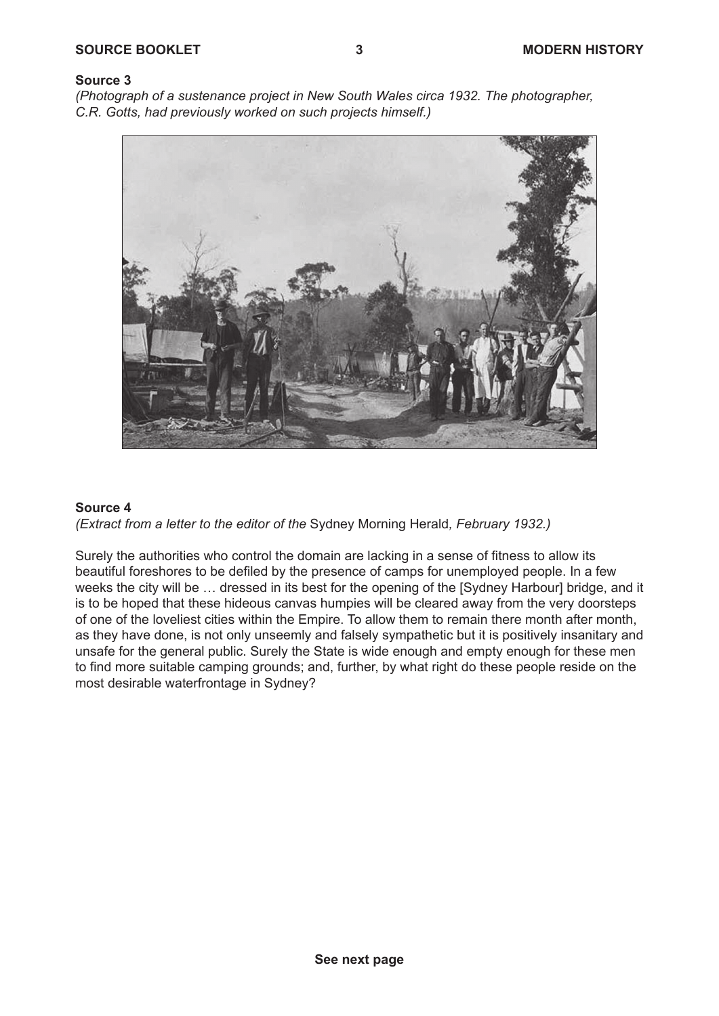*(Photograph of a sustenance project in New South Wales circa 1932. The photographer, C.R. Gotts, had previously worked on such projects himself.)*



#### **Source 4**

*(Extract from a letter to the editor of the* Sydney Morning Herald*, February 1932.)*

Surely the authorities who control the domain are lacking in a sense of fitness to allow its beautiful foreshores to be defiled by the presence of camps for unemployed people. In a few weeks the city will be … dressed in its best for the opening of the [Sydney Harbour] bridge, and it is to be hoped that these hideous canvas humpies will be cleared away from the very doorsteps of one of the loveliest cities within the Empire. To allow them to remain there month after month, as they have done, is not only unseemly and falsely sympathetic but it is positively insanitary and unsafe for the general public. Surely the State is wide enough and empty enough for these men to find more suitable camping grounds; and, further, by what right do these people reside on the most desirable waterfrontage in Sydney?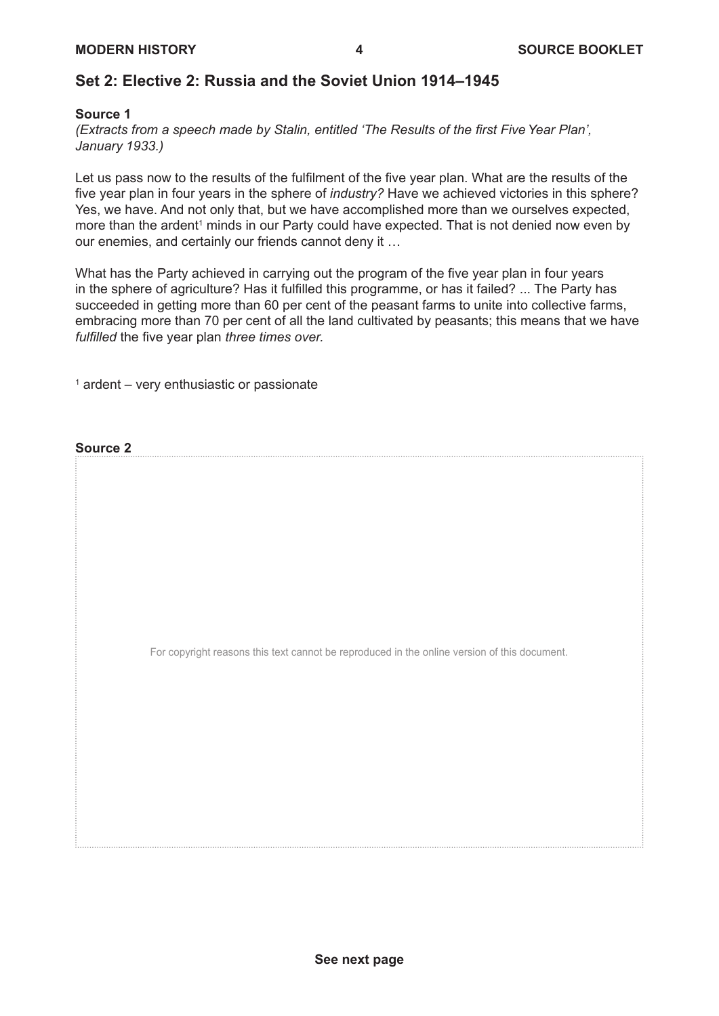## **Set 2: Elective 2: Russia and the Soviet Union 1914–1945**

#### **Source 1**

*(Extracts from a speech made by Stalin, entitled 'The Results of the first Five Year Plan', January 1933.)*

Let us pass now to the results of the fulfilment of the five year plan. What are the results of the five year plan in four years in the sphere of *industry?* Have we achieved victories in this sphere? Yes, we have. And not only that, but we have accomplished more than we ourselves expected, more than the ardent<sup>1</sup> minds in our Party could have expected. That is not denied now even by our enemies, and certainly our friends cannot deny it …

What has the Party achieved in carrying out the program of the five year plan in four years in the sphere of agriculture? Has it fulfilled this programme, or has it failed? ... The Party has succeeded in getting more than 60 per cent of the peasant farms to unite into collective farms, embracing more than 70 per cent of all the land cultivated by peasants; this means that we have *fulfilled* the five year plan *three times over.*

 $^\text{\tiny{1}}$  ardent – very enthusiastic or passionate

**Source 2**

For copyright reasons this text cannot be reproduced in the online version of this document.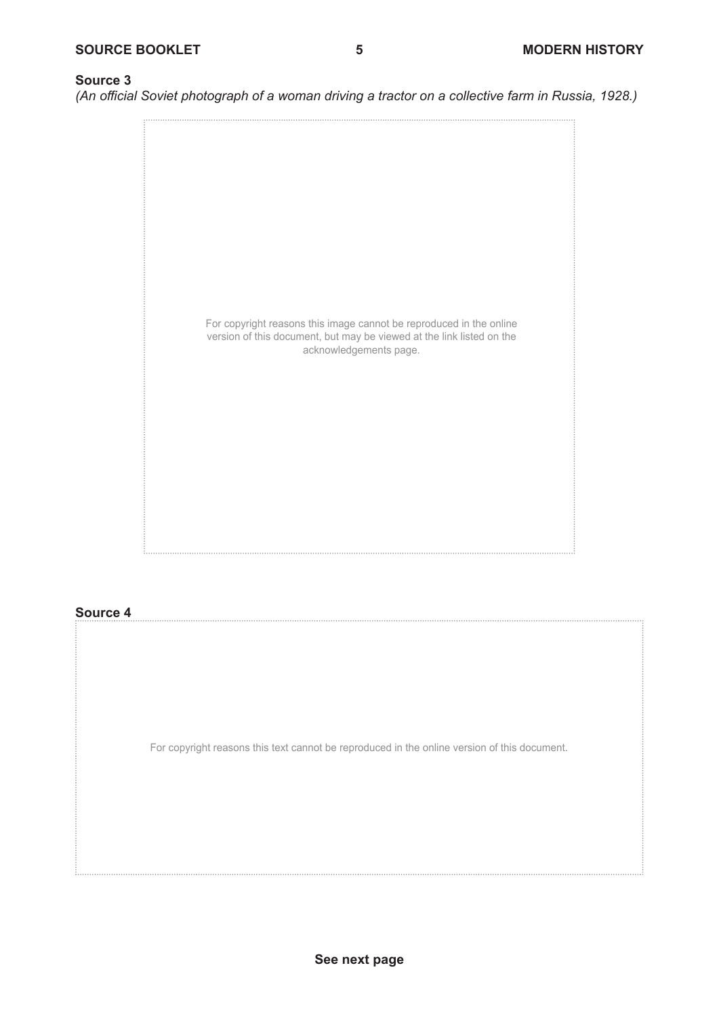*(An official Soviet photograph of a woman driving a tractor on a collective farm in Russia, 1928.)*



#### **Source 4**

For copyright reasons this text cannot be reproduced in the online version of this document.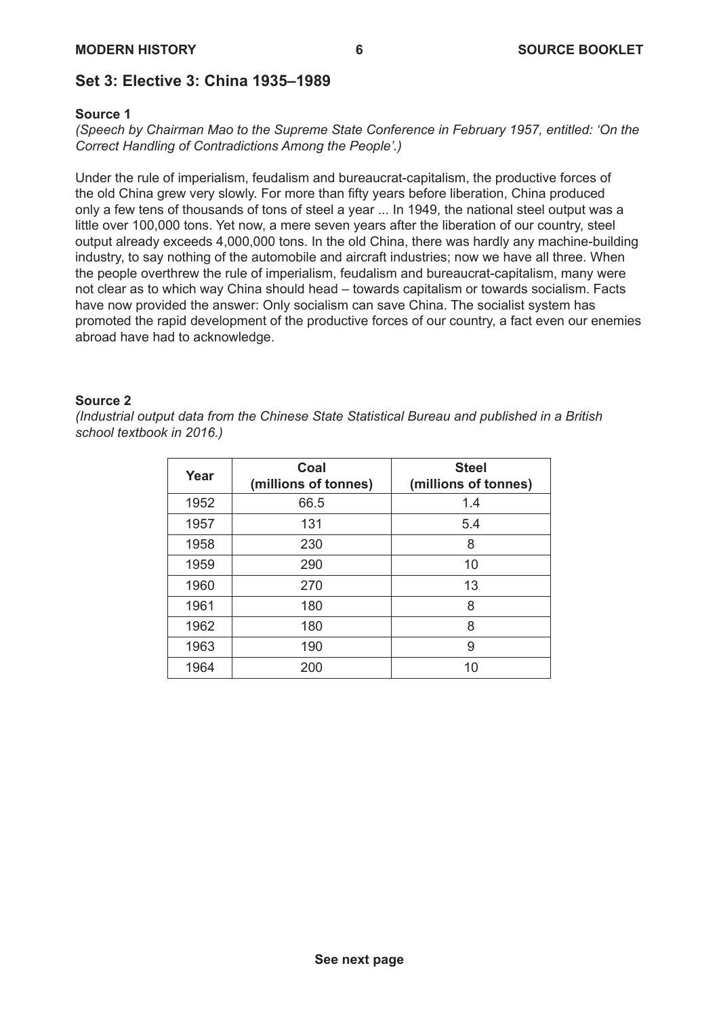## **Set 3: Elective 3: China 1935–1989**

#### **Source 1**

*(Speech by Chairman Mao to the Supreme State Conference in February 1957, entitled: 'On the Correct Handling of Contradictions Among the People'.)*

Under the rule of imperialism, feudalism and bureaucrat-capitalism, the productive forces of the old China grew very slowly. For more than fifty years before liberation, China produced only a few tens of thousands of tons of steel a year ... In 1949, the national steel output was a little over 100,000 tons. Yet now, a mere seven years after the liberation of our country, steel output already exceeds 4,000,000 tons. In the old China, there was hardly any machine-building industry, to say nothing of the automobile and aircraft industries; now we have all three. When the people overthrew the rule of imperialism, feudalism and bureaucrat-capitalism, many were not clear as to which way China should head – towards capitalism or towards socialism. Facts have now provided the answer: Only socialism can save China. The socialist system has promoted the rapid development of the productive forces of our country, a fact even our enemies abroad have had to acknowledge.

#### **Source 2**

*(Industrial output data from the Chinese State Statistical Bureau and published in a British school textbook in 2016.)*

| Year | Coal<br>(millions of tonnes) | <b>Steel</b><br>(millions of tonnes) |
|------|------------------------------|--------------------------------------|
| 1952 | 66.5                         | 1.4                                  |
| 1957 | 131                          | 5.4                                  |
| 1958 | 230                          | 8                                    |
| 1959 | 290                          | 10                                   |
| 1960 | 270                          | 13                                   |
| 1961 | 180                          | 8                                    |
| 1962 | 180                          | 8                                    |
| 1963 | 190                          | 9                                    |
| 1964 | 200                          | 10                                   |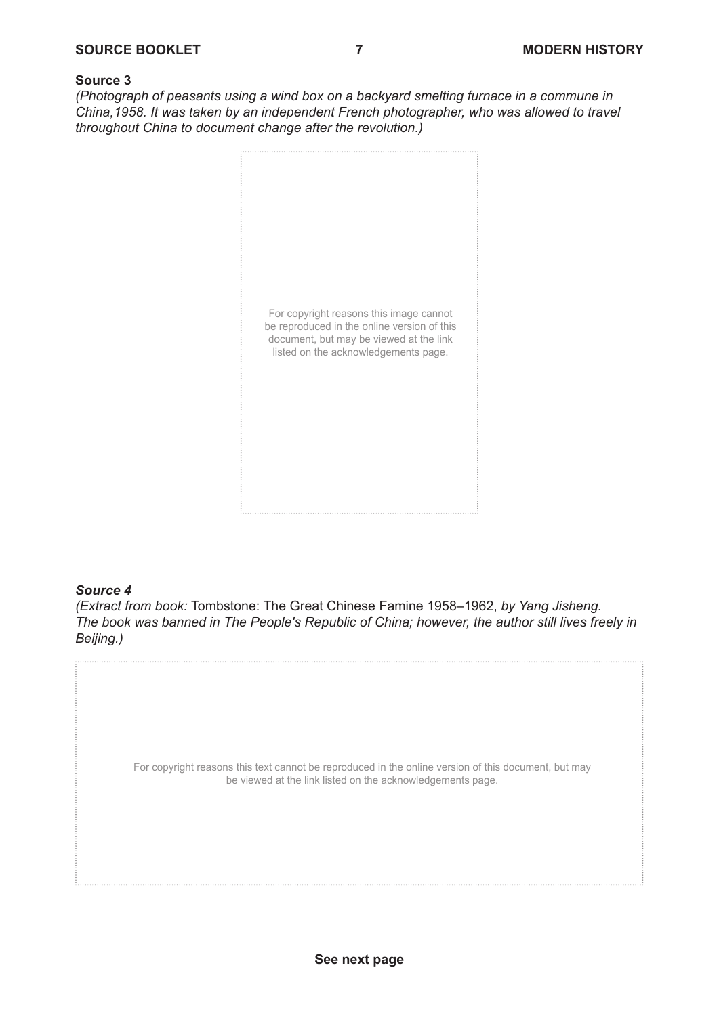*(Photograph of peasants using a wind box on a backyard smelting furnace in a commune in China,1958. It was taken by an independent French photographer, who was allowed to travel throughout China to document change after the revolution.)*



#### *Source 4*

*(Extract from book:* Tombstone: The Great Chinese Famine 1958–1962, *by Yang Jisheng. The book was banned in The People's Republic of China; however, the author still lives freely in Beijing.)*

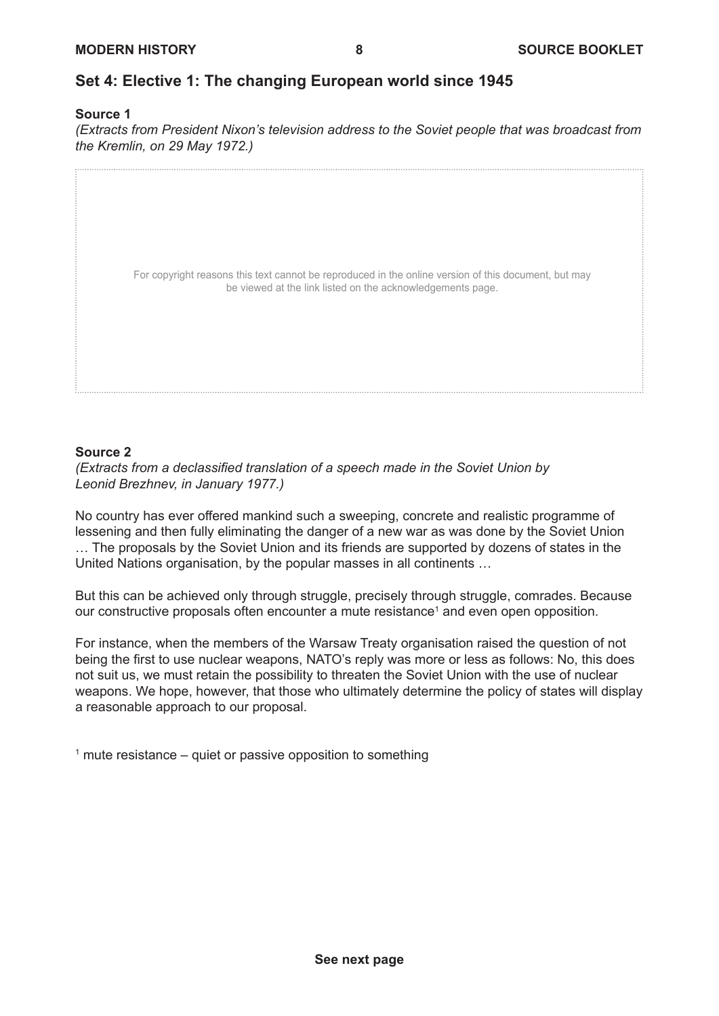## **Set 4: Elective 1: The changing European world since 1945**

#### **Source 1**

*(Extracts from President Nixon's television address to the Soviet people that was broadcast from the Kremlin, on 29 May 1972.)*

| For copyright reasons this text cannot be reproduced in the online version of this document, but may<br>be viewed at the link listed on the acknowledgements page. |  |
|--------------------------------------------------------------------------------------------------------------------------------------------------------------------|--|
|                                                                                                                                                                    |  |
|                                                                                                                                                                    |  |

#### **Source 2**

*(Extracts from a declassified translation of a speech made in the Soviet Union by Leonid Brezhnev, in January 1977.)*

No country has ever offered mankind such a sweeping, concrete and realistic programme of lessening and then fully eliminating the danger of a new war as was done by the Soviet Union … The proposals by the Soviet Union and its friends are supported by dozens of states in the United Nations organisation, by the popular masses in all continents …

But this can be achieved only through struggle, precisely through struggle, comrades. Because our constructive proposals often encounter a mute resistance<sup>1</sup> and even open opposition.

For instance, when the members of the Warsaw Treaty organisation raised the question of not being the first to use nuclear weapons, NATO's reply was more or less as follows: No, this does not suit us, we must retain the possibility to threaten the Soviet Union with the use of nuclear weapons. We hope, however, that those who ultimately determine the policy of states will display a reasonable approach to our proposal.

 $^\text{\tiny{1}}$  mute resistance – quiet or passive opposition to something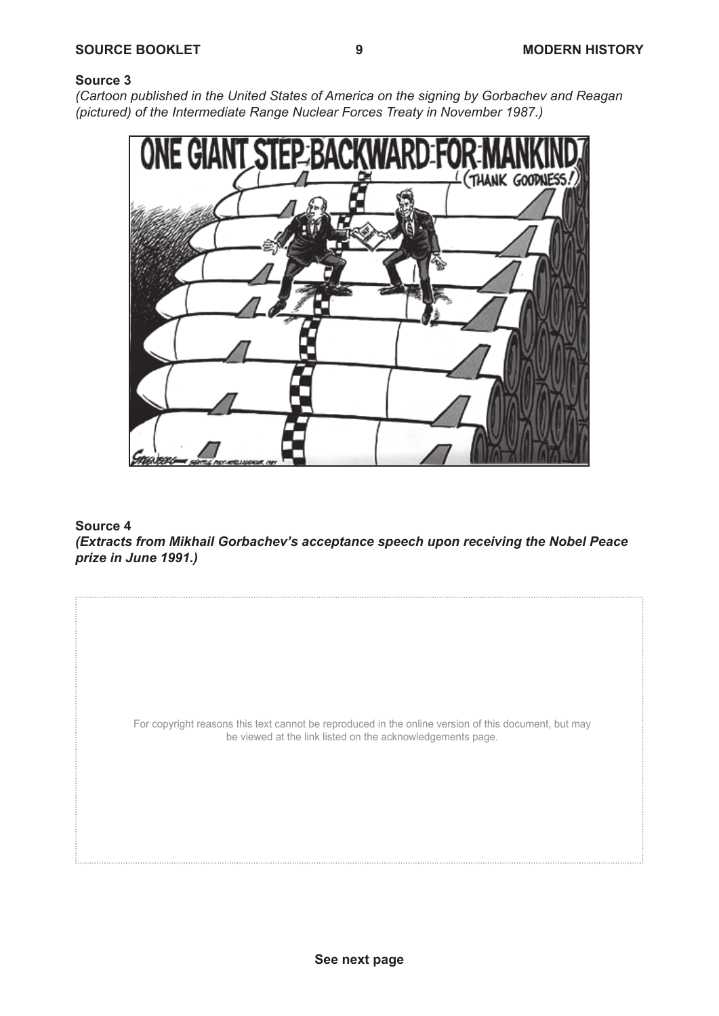#### **Source 3 Cartoon published in the signing by Gorbachev and Reagan (picture designing by Gorbachev and Reagan (pictured) of the signing by Gorbachev and Reagan (picture designing by Gorbachev and Reagan (pictured) of the signing by**

*(Cartoon published in the United States of America on the signing by Gorbachev and Reagan (pictured) of the Intermediate Range Nuclear Forces Treaty in November 1987.)*



**Figure 4** acceptance speech upon  $\mathcal{L}$  acceptance speech upon receiving the Nobel Peace prize  $\mathcal{L}$  acceptance prize  $\mathcal{L}$  acceptance  $\mathcal{L}$  acceptance  $\mathcal{L}$ *(Extracts from Mikhail Gorbachev's acceptance speech upon receiving the Nobel Peace* **Source 4** *prize in June 1991.)*

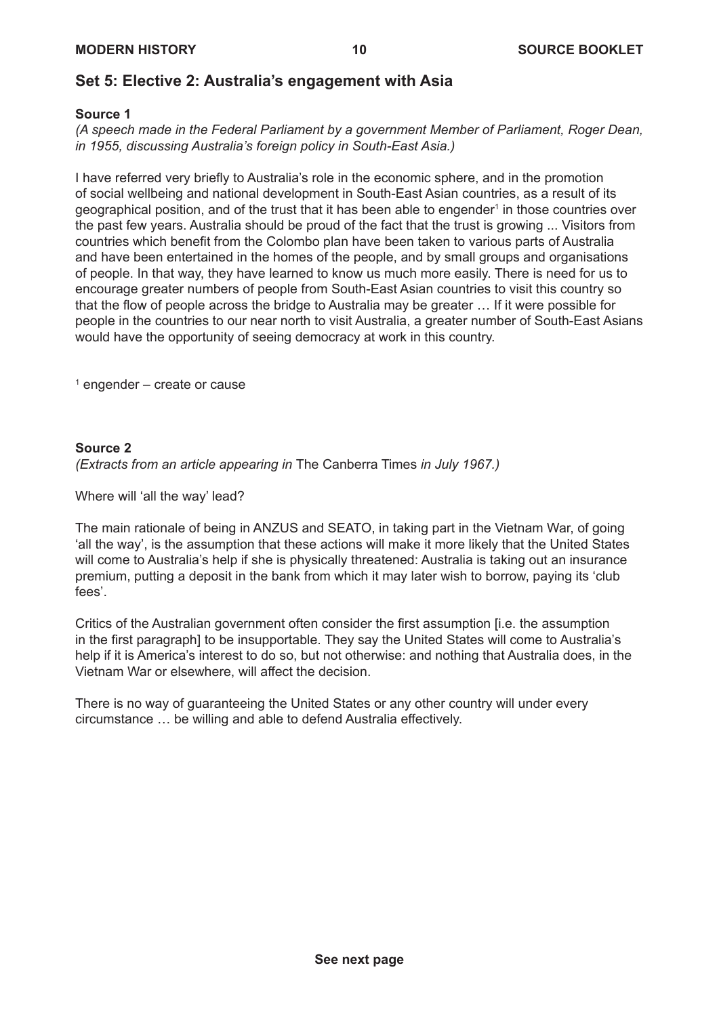## **Set 5: Elective 2: Australia's engagement with Asia**

#### **Source 1**

*(A speech made in the Federal Parliament by a government Member of Parliament, Roger Dean, in 1955, discussing Australia's foreign policy in South-East Asia.)*

I have referred very briefly to Australia's role in the economic sphere, and in the promotion of social wellbeing and national development in South-East Asian countries, as a result of its geographical position, and of the trust that it has been able to engender $^{\rm t}$  in those countries over the past few years. Australia should be proud of the fact that the trust is growing ... Visitors from countries which benefit from the Colombo plan have been taken to various parts of Australia and have been entertained in the homes of the people, and by small groups and organisations of people. In that way, they have learned to know us much more easily. There is need for us to encourage greater numbers of people from South-East Asian countries to visit this country so that the flow of people across the bridge to Australia may be greater … If it were possible for people in the countries to our near north to visit Australia, a greater number of South-East Asians would have the opportunity of seeing democracy at work in this country.

1 engender – create or cause

#### **Source 2**

*(Extracts from an article appearing in* The Canberra Times *in July 1967.)*

Where will 'all the way' lead?

The main rationale of being in ANZUS and SEATO, in taking part in the Vietnam War, of going 'all the way', is the assumption that these actions will make it more likely that the United States will come to Australia's help if she is physically threatened: Australia is taking out an insurance premium, putting a deposit in the bank from which it may later wish to borrow, paying its 'club fees'.

Critics of the Australian government often consider the first assumption [i.e. the assumption in the first paragraph] to be insupportable. They say the United States will come to Australia's help if it is America's interest to do so, but not otherwise: and nothing that Australia does, in the Vietnam War or elsewhere, will affect the decision.

There is no way of guaranteeing the United States or any other country will under every circumstance … be willing and able to defend Australia effectively.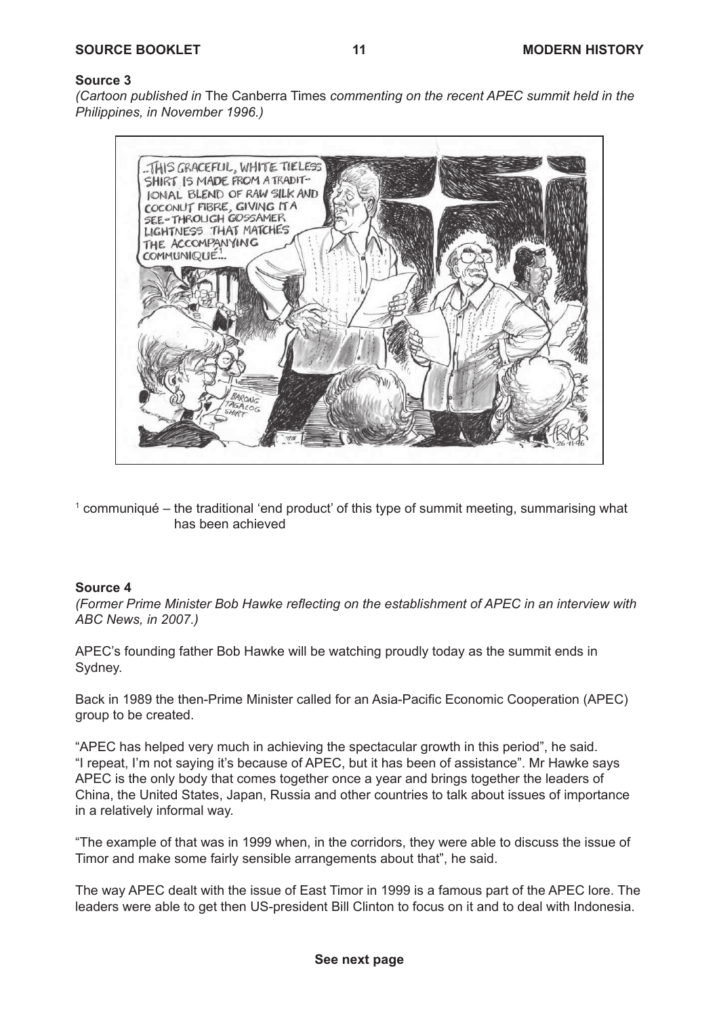## **Source 3 Source 3**

(Cartoon published in The Canberra Times commenting on the recent APEC summit held in the *Philippines, in November 1996.) that year held in the Philippines.)* 



 $^{\rm 1}$  communiqué – the traditional 'end product' of this type of summit meeting, summarising what has been achieved

#### *ABC news, 2007.)*  **Source 4**

ABC News, in 2007.) *(Former Prime Minister Bob Hawke reflecting on the establishment of APEC in an interview with* 

 $B_n$  $g$  and  $g$ . APEC's founding father Bob Hawke will be watching proudly today as the summit ends in Sydney.

Back in 1989 the then-Prime Minister called for an Asia-Pacific Economic Cooperation (APEC).<br>group to be erected  $r_{\rm F}$  is because of  $R_{\rm F}$  because of  $A$ group to be created.

"APEC has helped very much in achieving the spectacular growth in this period", he said.  $AC$  individually the United States,  $AC$  of the United States,  $AC$  countries to talk and  $AC$ "I repeat, I'm not saying it's because of APEC, but it has been of assistance". Mr Hawke says<br>APES China, the United States, Japan, Russia and other countries to talk about issues of importance in a relatively informal way. APEC is the only body that comes together once a year and brings together the leaders of

"The example of that was in 1999 when, in the corridors, they were able to discuss the issue of Timor and make some fairly sensible arrangements about that", he said.

The way APEC dealt with the issue of East Timor in 1999 is a famous part of the APEC lore. The leaders were able to get then US-president Bill Clinton to focus on it and to deal with Indonesia.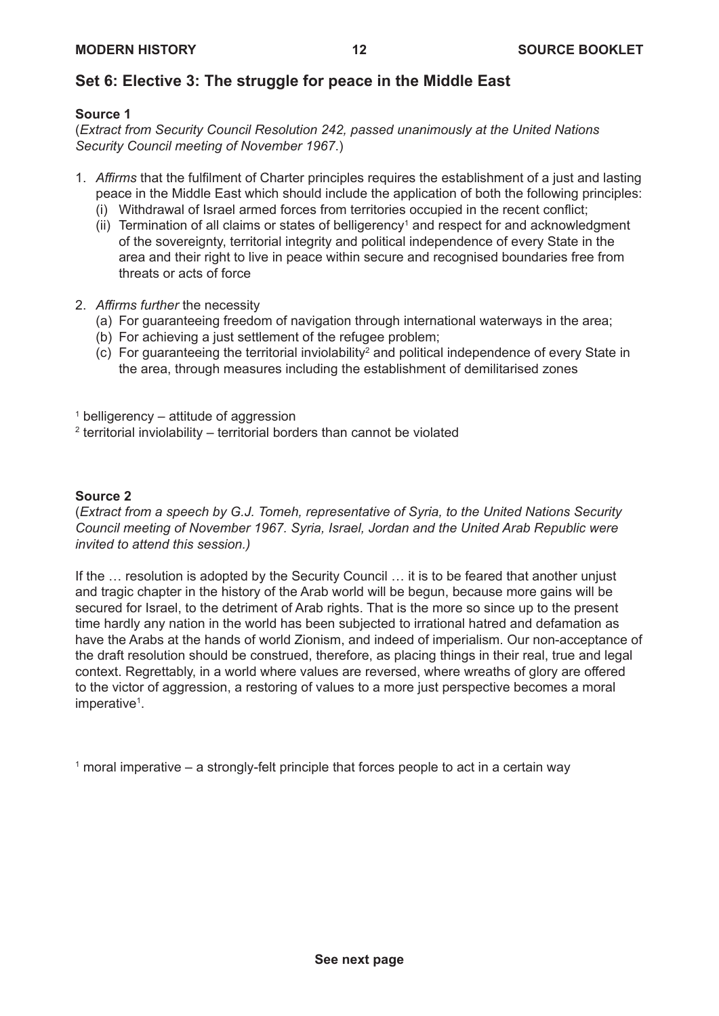## **Set 6: Elective 3: The struggle for peace in the Middle East**

#### **Source 1**

(*Extract from Security Council Resolution 242, passed unanimously at the United Nations Security Council meeting of November 1967*.)

- 1. *Affirms* that the fulfilment of Charter principles requires the establishment of a just and lasting peace in the Middle East which should include the application of both the following principles:
	- (i) Withdrawal of Israel armed forces from territories occupied in the recent conflict;
	- $(ii)$  Termination of all claims or states of belligerency<sup>1</sup> and respect for and acknowledgment of the sovereignty, territorial integrity and political independence of every State in the area and their right to live in peace within secure and recognised boundaries free from threats or acts of force
- 2. *Affirms further* the necessity
	- (a) For guaranteeing freedom of navigation through international waterways in the area;
	- (b) For achieving a just settlement of the refugee problem;
	- $(c)$  For guaranteeing the territorial inviolability<sup>2</sup> and political independence of every State in the area, through measures including the establishment of demilitarised zones

 $^\text{\tiny{1}}$  belligerency – attitude of aggression

 $^\mathrm{2}$  territorial inviolability – territorial borders than cannot be violated

### **Source 2**

(*Extract from a speech by G.J. Tomeh, representative of Syria, to the United Nations Security Council meeting of November 1967. Syria, Israel, Jordan and the United Arab Republic were invited to attend this session.)*

If the … resolution is adopted by the Security Council … it is to be feared that another unjust and tragic chapter in the history of the Arab world will be begun, because more gains will be secured for Israel, to the detriment of Arab rights. That is the more so since up to the present time hardly any nation in the world has been subjected to irrational hatred and defamation as have the Arabs at the hands of world Zionism, and indeed of imperialism. Our non-acceptance of the draft resolution should be construed, therefore, as placing things in their real, true and legal context. Regrettably, in a world where values are reversed, where wreaths of glory are offered to the victor of aggression, a restoring of values to a more just perspective becomes a moral imperative<sup>1</sup>.

 $^{\rm 1}$  moral imperative – a strongly-felt principle that forces people to act in a certain way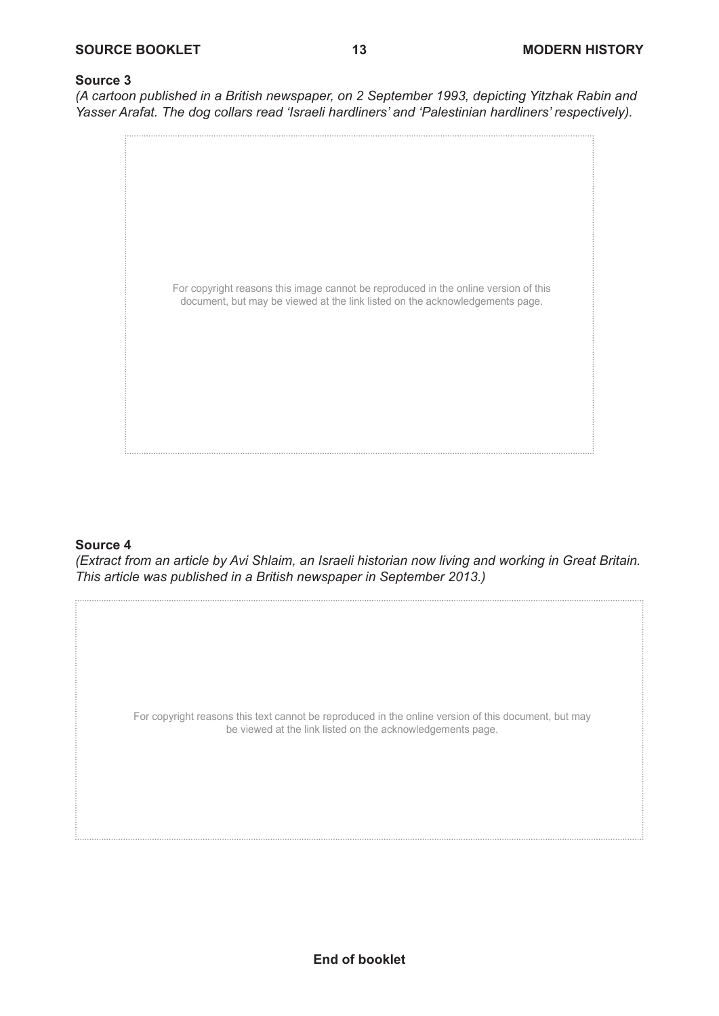*(A cartoon published in a British newspaper, on 2 September 1993, depicting Yitzhak Rabin and Yasser Arafat. The dog collars read 'Israeli hardliners' and 'Palestinian hardliners' respectively).*



#### **Source 4**

*(Extract from an article by Avi Shlaim, an Israeli historian now living and working in Great Britain. This article was published in a British newspaper in September 2013.)*

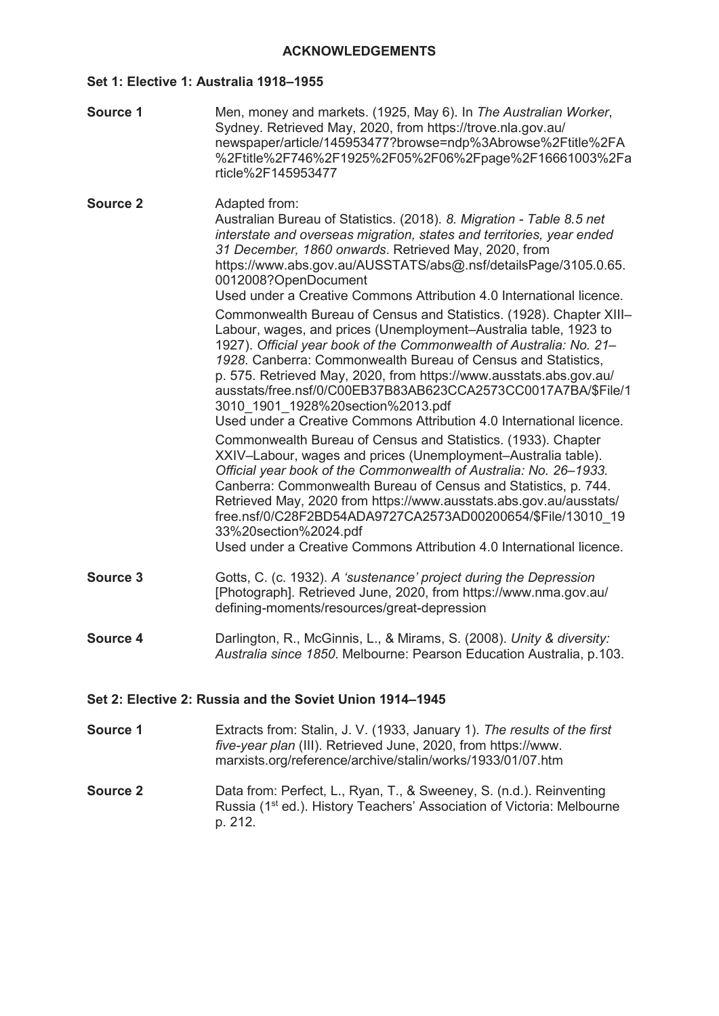#### **Set 1: Elective 1: Australia 1918–1955**

| Source 1        | Men, money and markets. (1925, May 6). In The Australian Worker,<br>Sydney. Retrieved May, 2020, from https://trove.nla.gov.au/<br>newspaper/article/145953477?browse=ndp%3Abrowse%2Ftitle%2FA<br>%2Ftitle%2F746%2F1925%2F05%2F06%2Fpage%2F16661003%2Fa<br>rticle%2F145953477                                                                                                                                                                                                                                                                                                                                                                                                                                                                                                                                                                                                                                                                                                                                                                                                                                                                                                                                                                                                                                                                                                                                                                     |
|-----------------|---------------------------------------------------------------------------------------------------------------------------------------------------------------------------------------------------------------------------------------------------------------------------------------------------------------------------------------------------------------------------------------------------------------------------------------------------------------------------------------------------------------------------------------------------------------------------------------------------------------------------------------------------------------------------------------------------------------------------------------------------------------------------------------------------------------------------------------------------------------------------------------------------------------------------------------------------------------------------------------------------------------------------------------------------------------------------------------------------------------------------------------------------------------------------------------------------------------------------------------------------------------------------------------------------------------------------------------------------------------------------------------------------------------------------------------------------|
| <b>Source 2</b> | Adapted from:<br>Australian Bureau of Statistics. (2018). 8. Migration - Table 8.5 net<br>interstate and overseas migration, states and territories, year ended<br>31 December, 1860 onwards. Retrieved May, 2020, from<br>https://www.abs.gov.au/AUSSTATS/abs@.nsf/detailsPage/3105.0.65.<br>0012008?OpenDocument<br>Used under a Creative Commons Attribution 4.0 International licence.<br>Commonwealth Bureau of Census and Statistics. (1928). Chapter XIII-<br>Labour, wages, and prices (Unemployment-Australia table, 1923 to<br>1927). Official year book of the Commonwealth of Australia: No. 21-<br>1928. Canberra: Commonwealth Bureau of Census and Statistics,<br>p. 575. Retrieved May, 2020, from https://www.ausstats.abs.gov.au/<br>ausstats/free.nsf/0/C00EB37B83AB623CCA2573CC0017A7BA/\$File/1<br>3010 1901 1928%20section%2013.pdf<br>Used under a Creative Commons Attribution 4.0 International licence.<br>Commonwealth Bureau of Census and Statistics. (1933). Chapter<br>XXIV-Labour, wages and prices (Unemployment-Australia table).<br>Official year book of the Commonwealth of Australia: No. 26-1933.<br>Canberra: Commonwealth Bureau of Census and Statistics, p. 744.<br>Retrieved May, 2020 from https://www.ausstats.abs.gov.au/ausstats/<br>free.nsf/0/C28F2BD54ADA9727CA2573AD00200654/\$File/13010 19<br>33%20section%2024.pdf<br>Used under a Creative Commons Attribution 4.0 International licence. |
| Source 3        | Gotts, C. (c. 1932). A 'sustenance' project during the Depression<br>[Photograph]. Retrieved June, 2020, from https://www.nma.gov.au/<br>defining-moments/resources/great-depression                                                                                                                                                                                                                                                                                                                                                                                                                                                                                                                                                                                                                                                                                                                                                                                                                                                                                                                                                                                                                                                                                                                                                                                                                                                              |
| Source 4        | Darlington, R., McGinnis, L., & Mirams, S. (2008). Unity & diversity:<br>Australia since 1850. Melbourne: Pearson Education Australia, p.103.                                                                                                                                                                                                                                                                                                                                                                                                                                                                                                                                                                                                                                                                                                                                                                                                                                                                                                                                                                                                                                                                                                                                                                                                                                                                                                     |
|                 | Set 2: Elective 2: Russia and the Soviet Union 1914-1945                                                                                                                                                                                                                                                                                                                                                                                                                                                                                                                                                                                                                                                                                                                                                                                                                                                                                                                                                                                                                                                                                                                                                                                                                                                                                                                                                                                          |
|                 | $\Gamma$ the the fueror $\Omega$ tellin $\Gamma$ $\Omega$ (4000 Lemma 4) The results of the final                                                                                                                                                                                                                                                                                                                                                                                                                                                                                                                                                                                                                                                                                                                                                                                                                                                                                                                                                                                                                                                                                                                                                                                                                                                                                                                                                 |

- **Source 1** Extracts from: Stalin, J. V. (1933, January 1). *The results of the first five-year plan* (III). Retrieved June, 2020, from https://www. marxists.org/reference/archive/stalin/works/1933/01/07.htm
- **Source 2** Data from: Perfect, L., Ryan, T., & Sweeney, S. (n.d.). Reinventing Russia (1st ed.). History Teachers' Association of Victoria: Melbourne p. 212.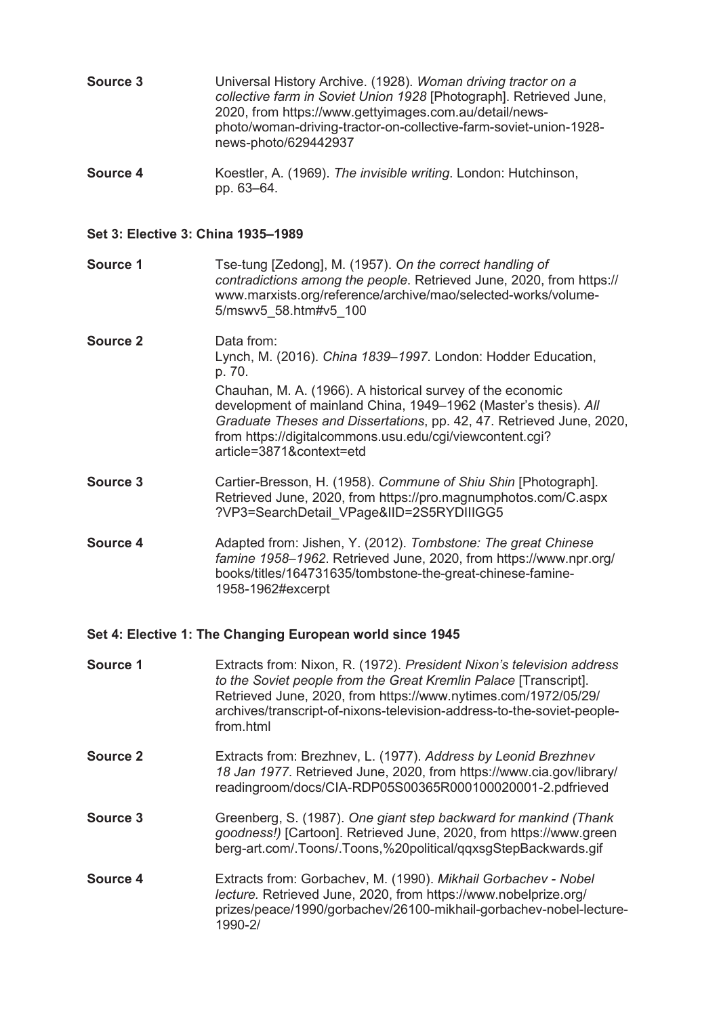| Source 3 | Universal History Archive. (1928). Woman driving tractor on a<br>collective farm in Soviet Union 1928 [Photograph]. Retrieved June,<br>2020, from https://www.gettyimages.com.au/detail/news-<br>photo/woman-driving-tractor-on-collective-farm-soviet-union-1928- |
|----------|--------------------------------------------------------------------------------------------------------------------------------------------------------------------------------------------------------------------------------------------------------------------|
|          | news-photo/629442937                                                                                                                                                                                                                                               |

**Source 4** Koestler, A. (1969). *The invisible writing*. London: Hutchinson, pp. 63–64.

#### **Set 3: Elective 3: China 1935–1989**

**Source 1** Tse-tung [Zedong], M. (1957). *On the correct handling of contradictions among the people*. Retrieved June, 2020, from https:// www.marxists.org/reference/archive/mao/selected-works/volume-5/mswv5\_58.htm#v5\_100

- **Source 2** Data from: Lynch, M. (2016). *China 1839–1997*. London: Hodder Education, p. 70. Chauhan, M. A. (1966). A historical survey of the economic development of mainland China, 1949–1962 (Master's thesis). *All Graduate Theses and Dissertations*, pp. 42, 47. Retrieved June, 2020, from https://digitalcommons.usu.edu/cgi/viewcontent.cgi? article=3871&context=etd
- **Source 3** Cartier-Bresson, H. (1958). *Commune of Shiu Shin* [Photograph]. Retrieved June, 2020, from https://pro.magnumphotos.com/C.aspx ?VP3=SearchDetail\_VPage&IID=2S5RYDIIIGG5
- **Source 4** Adapted from: Jishen, Y. (2012). *Tombstone: The great Chinese famine 1958–1962*. Retrieved June, 2020, from https://www.npr.org/ books/titles/164731635/tombstone-the-great-chinese-famine-1958-1962#excerpt

#### **Set 4: Elective 1: The Changing European world since 1945**

- **Source 1** Extracts from: Nixon, R. (1972). *President Nixon's television address to the Soviet people from the Great Kremlin Palace* [Transcript]. Retrieved June, 2020, from https://www.nytimes.com/1972/05/29/ archives/transcript-of-nixons-television-address-to-the-soviet-peoplefrom html
- **Source 2** Extracts from: Brezhnev, L. (1977). *Address by Leonid Brezhnev 18 Jan 1977*. Retrieved June, 2020, from https://www.cia.gov/library/ readingroom/docs/CIA-RDP05S00365R000100020001-2.pdfrieved
- **Source 3** Greenberg, S. (1987). *One giant* s*tep backward for mankind (Thank goodness!)* [Cartoon]. Retrieved June, 2020, from https://www.green berg-art.com/.Toons/.Toons,%20political/qqxsgStepBackwards.gif
- **Source 4** Extracts from: Gorbachev, M. (1990). *Mikhail Gorbachev - Nobel lecture.* Retrieved June, 2020, from https://www.nobelprize.org/ prizes/peace/1990/gorbachev/26100-mikhail-gorbachev-nobel-lecture-1990-2/